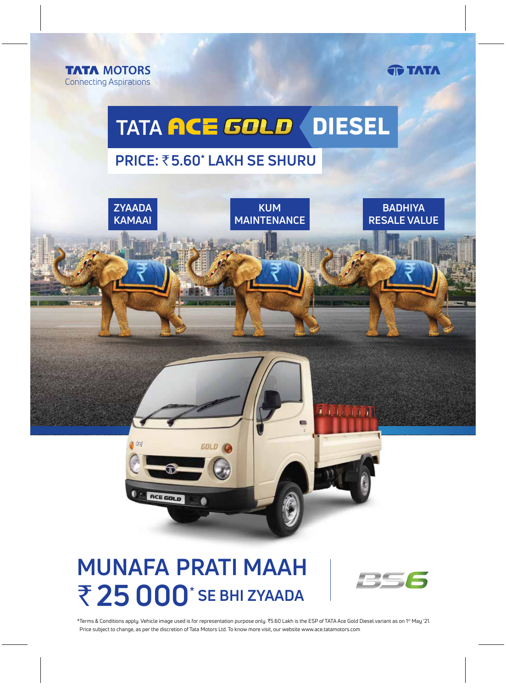**TATA MOTORS Connecting Aspirations**  **TATA** 

# **TATA ACE GOLD DIESEL**

### **PRICE: ₹5.60\* LAKH SE SHURU**



## **MUNAFA PRATI MAAH** ₹ 25 000<sup>\*</sup> SE BHI ZYAADA



\*Terms & Conditions apply. Vehicle image used is for representation purpose only. ₹5.60 Lakh is the ESP of TATA Ace Gold Diesel variant as on 1<sup>st</sup> May '21. Price subject to change, as per the discretion of Tata Motors Ltd. To know more visit, our website www.ace.tatamotors.com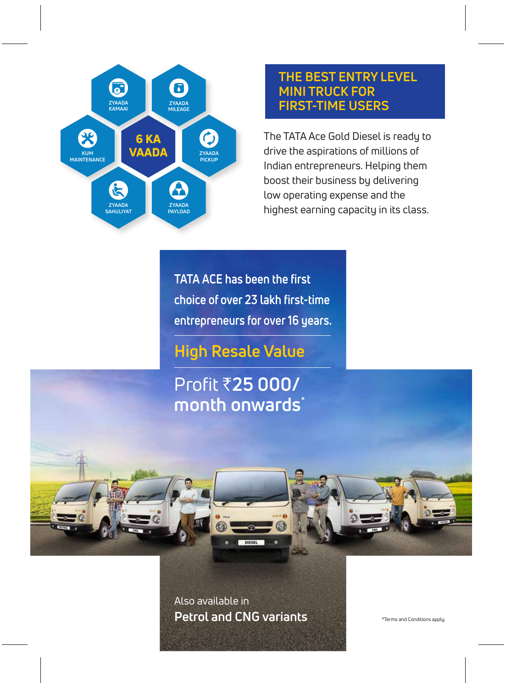

#### **THE BEST ENTRY LEVEL MINI TRUCK FOR FIRST-TIME USERS**

The TATA Ace Gold Diesel is ready to drive the aspirations of millions of Indian entrepreneurs. Helping them boost their business by delivering low operating expense and the highest earning capacity in its class.

**TATA ACE has been the first choice of over 23 lakh first-time entrepreneurs for over 16 years.**

**High Resale Value**

Profit `**25 000/ month onwards**\*

Also available in **Petrol and CNG variants**

\*Terms and Conditions apply.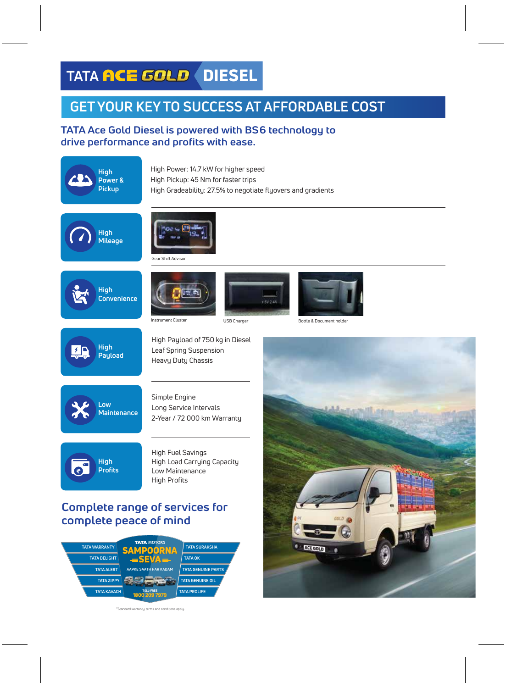## **TATA ACE GOLD DIESEL**

#Standard warranty, terms and conditions apply.

### **GET YOUR KEY TO SUCCESS AT AFFORDABLE COST**

#### **TATA Ace Gold Diesel is powered with BS6 technology to drive performance and profits with ease.**